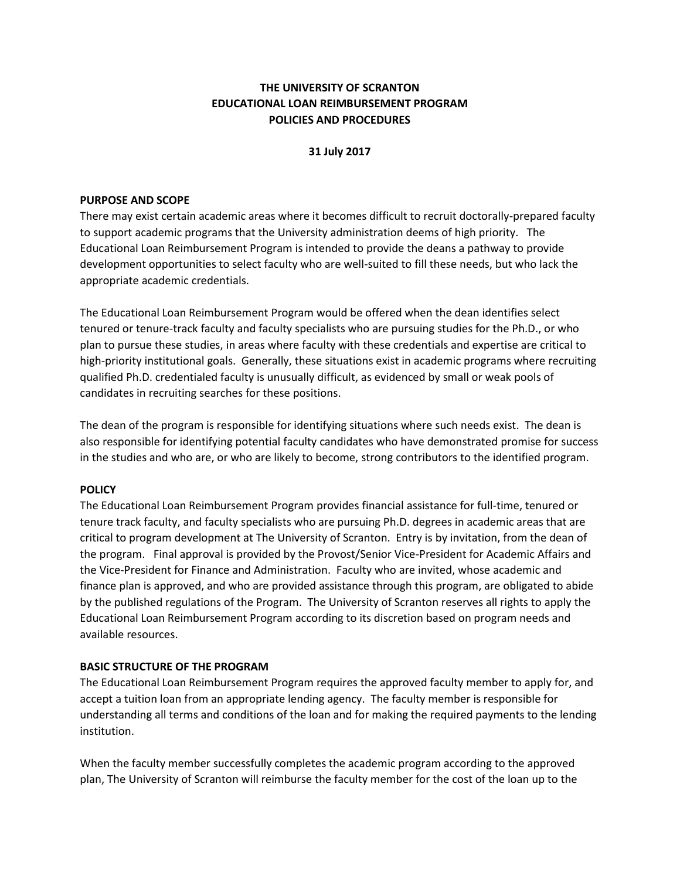# **THE UNIVERSITY OF SCRANTON EDUCATIONAL LOAN REIMBURSEMENT PROGRAM POLICIES AND PROCEDURES**

### **31 July 2017**

#### **PURPOSE AND SCOPE**

There may exist certain academic areas where it becomes difficult to recruit doctorally-prepared faculty to support academic programs that the University administration deems of high priority. The Educational Loan Reimbursement Program is intended to provide the deans a pathway to provide development opportunities to select faculty who are well-suited to fill these needs, but who lack the appropriate academic credentials.

The Educational Loan Reimbursement Program would be offered when the dean identifies select tenured or tenure-track faculty and faculty specialists who are pursuing studies for the Ph.D., or who plan to pursue these studies, in areas where faculty with these credentials and expertise are critical to high-priority institutional goals. Generally, these situations exist in academic programs where recruiting qualified Ph.D. credentialed faculty is unusually difficult, as evidenced by small or weak pools of candidates in recruiting searches for these positions.

The dean of the program is responsible for identifying situations where such needs exist. The dean is also responsible for identifying potential faculty candidates who have demonstrated promise for success in the studies and who are, or who are likely to become, strong contributors to the identified program.

## **POLICY**

The Educational Loan Reimbursement Program provides financial assistance for full-time, tenured or tenure track faculty, and faculty specialists who are pursuing Ph.D. degrees in academic areas that are critical to program development at The University of Scranton. Entry is by invitation, from the dean of the program. Final approval is provided by the Provost/Senior Vice-President for Academic Affairs and the Vice-President for Finance and Administration. Faculty who are invited, whose academic and finance plan is approved, and who are provided assistance through this program, are obligated to abide by the published regulations of the Program. The University of Scranton reserves all rights to apply the Educational Loan Reimbursement Program according to its discretion based on program needs and available resources.

## **BASIC STRUCTURE OF THE PROGRAM**

The Educational Loan Reimbursement Program requires the approved faculty member to apply for, and accept a tuition loan from an appropriate lending agency. The faculty member is responsible for understanding all terms and conditions of the loan and for making the required payments to the lending institution.

When the faculty member successfully completes the academic program according to the approved plan, The University of Scranton will reimburse the faculty member for the cost of the loan up to the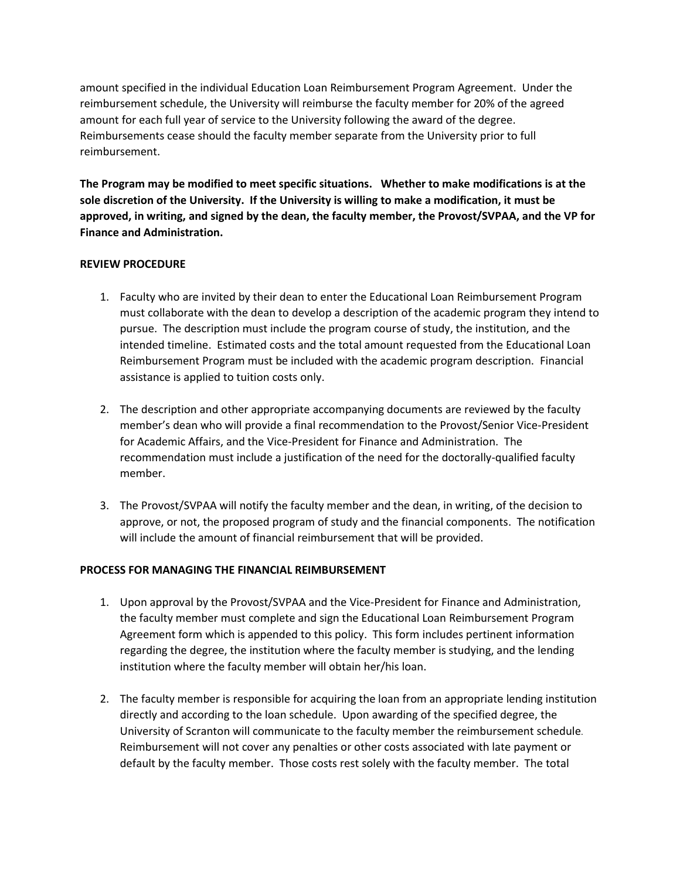amount specified in the individual Education Loan Reimbursement Program Agreement. Under the reimbursement schedule, the University will reimburse the faculty member for 20% of the agreed amount for each full year of service to the University following the award of the degree. Reimbursements cease should the faculty member separate from the University prior to full reimbursement.

**The Program may be modified to meet specific situations. Whether to make modifications is at the sole discretion of the University. If the University is willing to make a modification, it must be approved, in writing, and signed by the dean, the faculty member, the Provost/SVPAA, and the VP for Finance and Administration.** 

## **REVIEW PROCEDURE**

- 1. Faculty who are invited by their dean to enter the Educational Loan Reimbursement Program must collaborate with the dean to develop a description of the academic program they intend to pursue. The description must include the program course of study, the institution, and the intended timeline. Estimated costs and the total amount requested from the Educational Loan Reimbursement Program must be included with the academic program description. Financial assistance is applied to tuition costs only.
- 2. The description and other appropriate accompanying documents are reviewed by the faculty member's dean who will provide a final recommendation to the Provost/Senior Vice-President for Academic Affairs, and the Vice-President for Finance and Administration. The recommendation must include a justification of the need for the doctorally-qualified faculty member.
- 3. The Provost/SVPAA will notify the faculty member and the dean, in writing, of the decision to approve, or not, the proposed program of study and the financial components. The notification will include the amount of financial reimbursement that will be provided.

## **PROCESS FOR MANAGING THE FINANCIAL REIMBURSEMENT**

- 1. Upon approval by the Provost/SVPAA and the Vice-President for Finance and Administration, the faculty member must complete and sign the Educational Loan Reimbursement Program Agreement form which is appended to this policy. This form includes pertinent information regarding the degree, the institution where the faculty member is studying, and the lending institution where the faculty member will obtain her/his loan.
- 2. The faculty member is responsible for acquiring the loan from an appropriate lending institution directly and according to the loan schedule. Upon awarding of the specified degree, the University of Scranton will communicate to the faculty member the reimbursement schedule. Reimbursement will not cover any penalties or other costs associated with late payment or default by the faculty member. Those costs rest solely with the faculty member. The total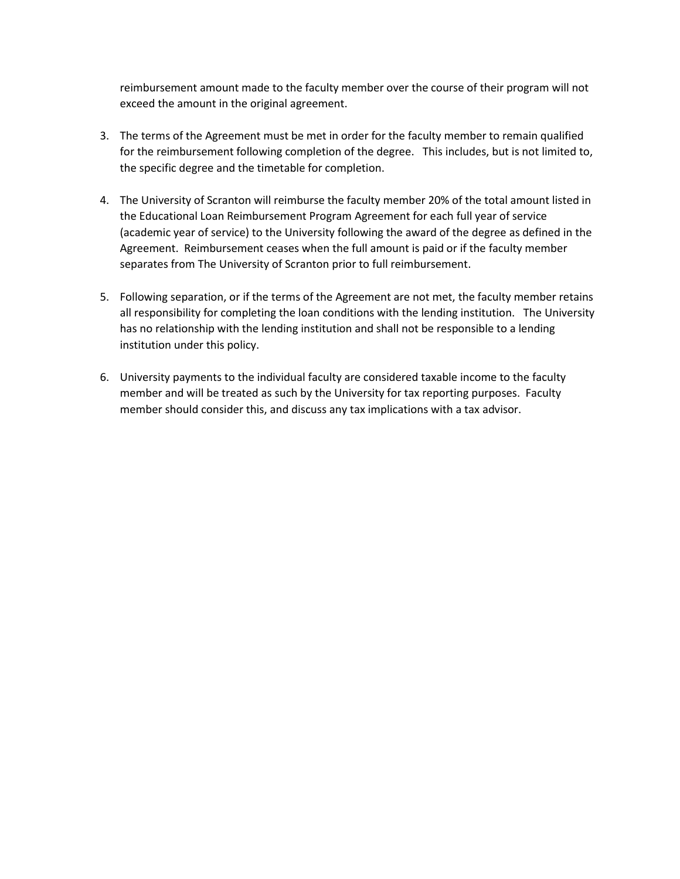reimbursement amount made to the faculty member over the course of their program will not exceed the amount in the original agreement.

- 3. The terms of the Agreement must be met in order for the faculty member to remain qualified for the reimbursement following completion of the degree. This includes, but is not limited to, the specific degree and the timetable for completion.
- 4. The University of Scranton will reimburse the faculty member 20% of the total amount listed in the Educational Loan Reimbursement Program Agreement for each full year of service (academic year of service) to the University following the award of the degree as defined in the Agreement. Reimbursement ceases when the full amount is paid or if the faculty member separates from The University of Scranton prior to full reimbursement.
- 5. Following separation, or if the terms of the Agreement are not met, the faculty member retains all responsibility for completing the loan conditions with the lending institution. The University has no relationship with the lending institution and shall not be responsible to a lending institution under this policy.
- 6. University payments to the individual faculty are considered taxable income to the faculty member and will be treated as such by the University for tax reporting purposes. Faculty member should consider this, and discuss any tax implications with a tax advisor.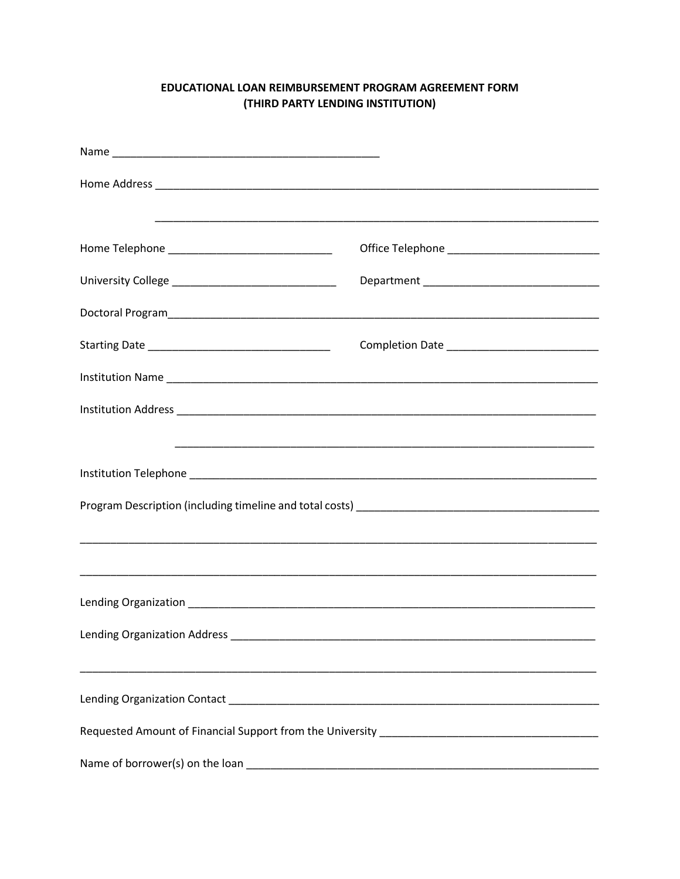# EDUCATIONAL LOAN REIMBURSEMENT PROGRAM AGREEMENT FORM (THIRD PARTY LENDING INSTITUTION)

| <u>,这就是一个人的人,我们就是一个人的人,我们就是一个人的人,我们就是一个人的人,我们就是一个人的人,我们就是一个人的人,我们就是一个人的人,我们就是</u> |                                                                                  |  |
|-----------------------------------------------------------------------------------|----------------------------------------------------------------------------------|--|
|                                                                                   |                                                                                  |  |
|                                                                                   |                                                                                  |  |
|                                                                                   | ,我们也不能在这里的时候,我们也不能在这里的时候,我们也不能会在这里,我们也不能会不能会不能会不能会。""我们的人,我们也不能会不能会不能会不能会不能会不能会不 |  |
|                                                                                   |                                                                                  |  |
|                                                                                   |                                                                                  |  |
| Name of borrower(s) on the loan                                                   |                                                                                  |  |